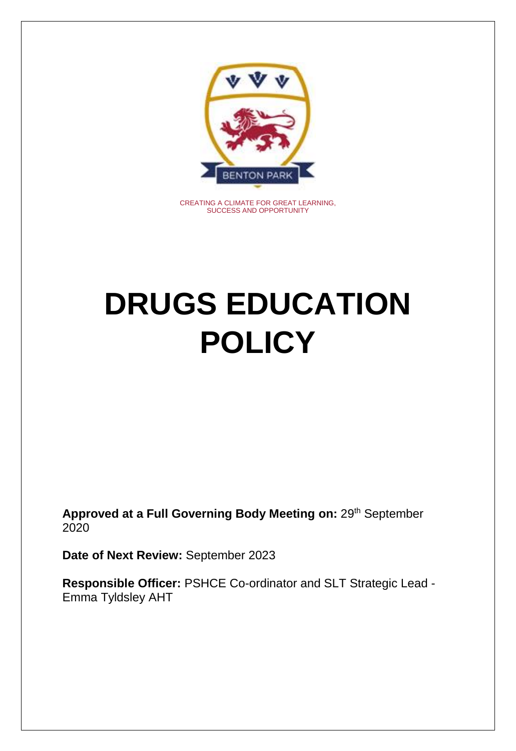

CREATING A CLIMATE FOR GREAT LEARNING, SUCCESS AND OPPORTUNITY

# **DRUGS EDUCATION POLICY**

**Approved at a Full Governing Body Meeting on:** 29th September 2020

**Date of Next Review:** September 2023

**Responsible Officer:** PSHCE Co-ordinator and SLT Strategic Lead - Emma Tyldsley AHT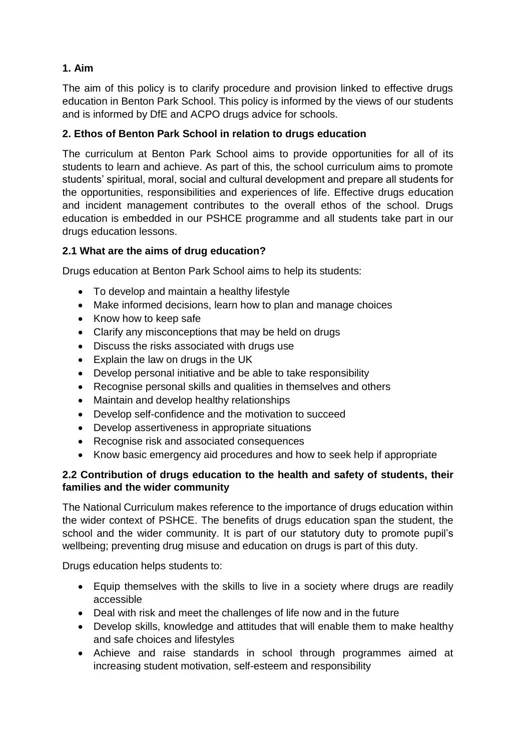## **1. Aim**

The aim of this policy is to clarify procedure and provision linked to effective drugs education in Benton Park School. This policy is informed by the views of our students and is informed by DfE and ACPO drugs advice for schools.

## **2. Ethos of Benton Park School in relation to drugs education**

The curriculum at Benton Park School aims to provide opportunities for all of its students to learn and achieve. As part of this, the school curriculum aims to promote students' spiritual, moral, social and cultural development and prepare all students for the opportunities, responsibilities and experiences of life. Effective drugs education and incident management contributes to the overall ethos of the school. Drugs education is embedded in our PSHCE programme and all students take part in our drugs education lessons.

## **2.1 What are the aims of drug education?**

Drugs education at Benton Park School aims to help its students:

- To develop and maintain a healthy lifestyle
- Make informed decisions, learn how to plan and manage choices
- Know how to keep safe
- Clarify any misconceptions that may be held on drugs
- Discuss the risks associated with drugs use
- Explain the law on drugs in the UK
- Develop personal initiative and be able to take responsibility
- Recognise personal skills and qualities in themselves and others
- Maintain and develop healthy relationships
- Develop self-confidence and the motivation to succeed
- Develop assertiveness in appropriate situations
- Recognise risk and associated consequences
- Know basic emergency aid procedures and how to seek help if appropriate

## **2.2 Contribution of drugs education to the health and safety of students, their families and the wider community**

The National Curriculum makes reference to the importance of drugs education within the wider context of PSHCE. The benefits of drugs education span the student, the school and the wider community. It is part of our statutory duty to promote pupil's wellbeing; preventing drug misuse and education on drugs is part of this duty.

Drugs education helps students to:

- Equip themselves with the skills to live in a society where drugs are readily accessible
- Deal with risk and meet the challenges of life now and in the future
- Develop skills, knowledge and attitudes that will enable them to make healthy and safe choices and lifestyles
- Achieve and raise standards in school through programmes aimed at increasing student motivation, self-esteem and responsibility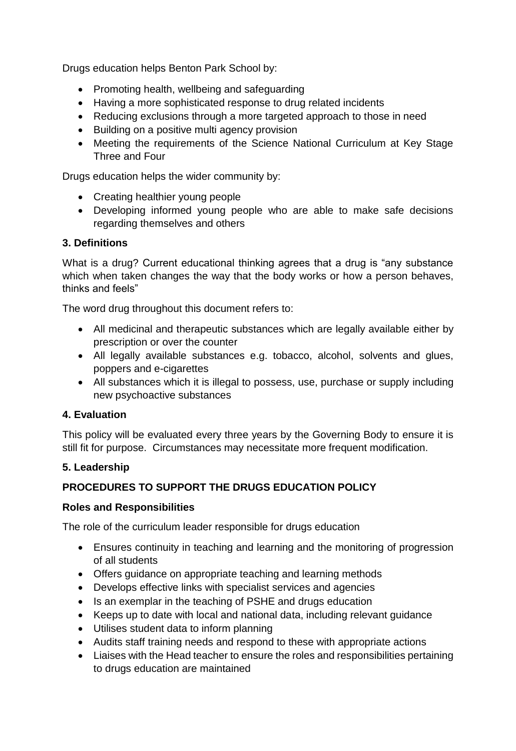Drugs education helps Benton Park School by:

- Promoting health, wellbeing and safeguarding
- Having a more sophisticated response to drug related incidents
- Reducing exclusions through a more targeted approach to those in need
- Building on a positive multi agency provision
- Meeting the requirements of the Science National Curriculum at Key Stage Three and Four

Drugs education helps the wider community by:

- Creating healthier young people
- Developing informed young people who are able to make safe decisions regarding themselves and others

### **3. Definitions**

What is a drug? Current educational thinking agrees that a drug is "any substance which when taken changes the way that the body works or how a person behaves, thinks and feels"

The word drug throughout this document refers to:

- All medicinal and therapeutic substances which are legally available either by prescription or over the counter
- All legally available substances e.g. tobacco, alcohol, solvents and glues, poppers and e-cigarettes
- All substances which it is illegal to possess, use, purchase or supply including new psychoactive substances

## **4. Evaluation**

This policy will be evaluated every three years by the Governing Body to ensure it is still fit for purpose. Circumstances may necessitate more frequent modification.

#### **5. Leadership**

## **PROCEDURES TO SUPPORT THE DRUGS EDUCATION POLICY**

#### **Roles and Responsibilities**

The role of the curriculum leader responsible for drugs education

- Ensures continuity in teaching and learning and the monitoring of progression of all students
- Offers guidance on appropriate teaching and learning methods
- Develops effective links with specialist services and agencies
- Is an exemplar in the teaching of PSHE and drugs education
- Keeps up to date with local and national data, including relevant guidance
- Utilises student data to inform planning
- Audits staff training needs and respond to these with appropriate actions
- Liaises with the Head teacher to ensure the roles and responsibilities pertaining to drugs education are maintained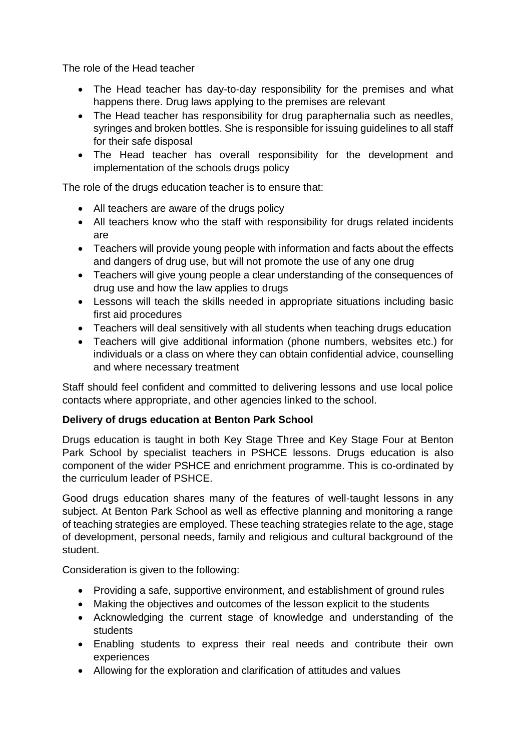The role of the Head teacher

- The Head teacher has day-to-day responsibility for the premises and what happens there. Drug laws applying to the premises are relevant
- The Head teacher has responsibility for drug paraphernalia such as needles, syringes and broken bottles. She is responsible for issuing guidelines to all staff for their safe disposal
- The Head teacher has overall responsibility for the development and implementation of the schools drugs policy

The role of the drugs education teacher is to ensure that:

- All teachers are aware of the drugs policy
- All teachers know who the staff with responsibility for drugs related incidents are
- Teachers will provide young people with information and facts about the effects and dangers of drug use, but will not promote the use of any one drug
- Teachers will give young people a clear understanding of the consequences of drug use and how the law applies to drugs
- Lessons will teach the skills needed in appropriate situations including basic first aid procedures
- Teachers will deal sensitively with all students when teaching drugs education
- Teachers will give additional information (phone numbers, websites etc.) for individuals or a class on where they can obtain confidential advice, counselling and where necessary treatment

Staff should feel confident and committed to delivering lessons and use local police contacts where appropriate, and other agencies linked to the school.

## **Delivery of drugs education at Benton Park School**

Drugs education is taught in both Key Stage Three and Key Stage Four at Benton Park School by specialist teachers in PSHCE lessons. Drugs education is also component of the wider PSHCE and enrichment programme. This is co-ordinated by the curriculum leader of PSHCE.

Good drugs education shares many of the features of well-taught lessons in any subject. At Benton Park School as well as effective planning and monitoring a range of teaching strategies are employed. These teaching strategies relate to the age, stage of development, personal needs, family and religious and cultural background of the student.

Consideration is given to the following:

- Providing a safe, supportive environment, and establishment of ground rules
- Making the objectives and outcomes of the lesson explicit to the students
- Acknowledging the current stage of knowledge and understanding of the students
- Enabling students to express their real needs and contribute their own experiences
- Allowing for the exploration and clarification of attitudes and values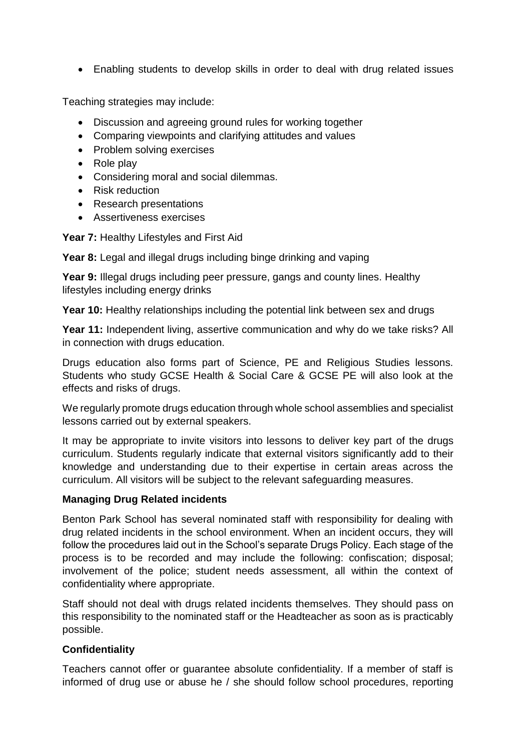Enabling students to develop skills in order to deal with drug related issues

Teaching strategies may include:

- Discussion and agreeing ground rules for working together
- Comparing viewpoints and clarifying attitudes and values
- Problem solving exercises
- Role play
- Considering moral and social dilemmas.
- Risk reduction
- Research presentations
- Assertiveness exercises

**Year 7:** Healthy Lifestyles and First Aid

**Year 8:** Legal and illegal drugs including binge drinking and vaping

**Year 9:** Illegal drugs including peer pressure, gangs and county lines. Healthy lifestyles including energy drinks

**Year 10:** Healthy relationships including the potential link between sex and drugs

**Year 11:** Independent living, assertive communication and why do we take risks? All in connection with drugs education.

Drugs education also forms part of Science, PE and Religious Studies lessons. Students who study GCSE Health & Social Care & GCSE PE will also look at the effects and risks of drugs.

We regularly promote drugs education through whole school assemblies and specialist lessons carried out by external speakers.

It may be appropriate to invite visitors into lessons to deliver key part of the drugs curriculum. Students regularly indicate that external visitors significantly add to their knowledge and understanding due to their expertise in certain areas across the curriculum. All visitors will be subject to the relevant safeguarding measures.

#### **Managing Drug Related incidents**

Benton Park School has several nominated staff with responsibility for dealing with drug related incidents in the school environment. When an incident occurs, they will follow the procedures laid out in the School's separate Drugs Policy. Each stage of the process is to be recorded and may include the following: confiscation; disposal; involvement of the police; student needs assessment, all within the context of confidentiality where appropriate.

Staff should not deal with drugs related incidents themselves. They should pass on this responsibility to the nominated staff or the Headteacher as soon as is practicably possible.

## **Confidentiality**

Teachers cannot offer or guarantee absolute confidentiality. If a member of staff is informed of drug use or abuse he / she should follow school procedures, reporting